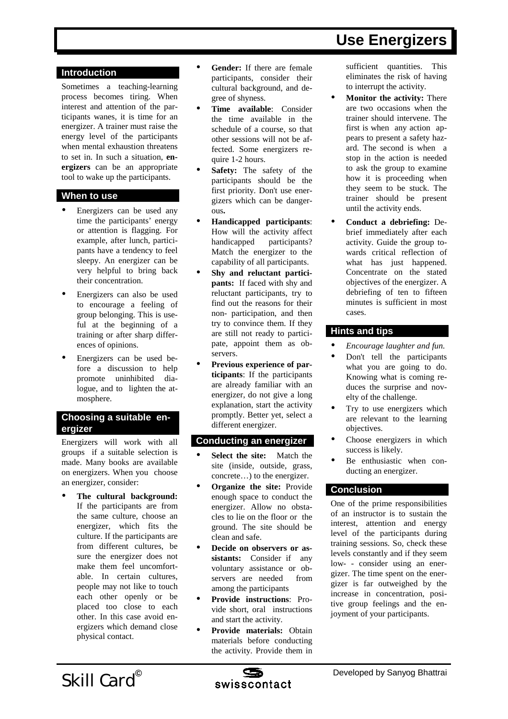# **Use Energizers**

## **Introduction**

Sometimes a teaching-learning process becomes tiring. When interest and attention of the participants wanes, it is time for an energizer. A trainer must raise the energy level of the participants when mental exhaustion threatens to set in. In such a situation, **energizers** can be an appropriate tool to wake up the participants.

#### **When to use**

- ! Energizers can be used any time the participants' energy or attention is flagging. For example, after lunch, participants have a tendency to feel sleepy. An energizer can be very helpful to bring back their concentration.
- ! Energizers can also be used to encourage a feeling of group belonging. This is useful at the beginning of a training or after sharp differences of opinions.
- ! Energizers can be used before a discussion to help promote uninhibited dialogue, and to lighten the atmosphere.

# **Choosing a suitable energizer**

Energizers will work with all groups if a suitable selection is made. Many books are available on energizers. When you choose an energizer, consider:

! **The cultural background:** If the participants are from the same culture, choose an energizer, which fits the culture. If the participants are from different cultures, be sure the energizer does not make them feel uncomfortable. In certain cultures, people may not like to touch each other openly or be placed too close to each other. In this case avoid energizers which demand close physical contact.

- ! **Gender:** If there are female participants, consider their cultural background, and degree of shyness.
- ! **Time available**: Consider the time available in the schedule of a course, so that other sessions will not be affected. Some energizers require 1-2 hours.
- **Safety:** The safety of the participants should be the first priority. Don't use energizers which can be dangerous**.**
- ! **Handicapped participants**: How will the activity affect handicapped participants? Match the energizer to the capability of all participants.
- ! **Shy and reluctant participants:** If faced with shy and reluctant participants, try to find out the reasons for their non- participation, and then try to convince them. If they are still not ready to participate, appoint them as observers.
- ! **Previous experience of participants**: If the participants are already familiar with an energizer, do not give a long explanation, start the activity promptly. Better yet, select a different energizer.

#### **Conducting an energizer**

- **Select the site:** Match the site (inside, outside, grass, concrete…) to the energizer.
- **Organize the site: Provide** enough space to conduct the energizer. Allow no obstacles to lie on the floor or the ground. The site should be clean and safe.
- ! **Decide on observers or assistants:** Consider if any voluntary assistance or observers are needed from among the participants
- ! **Provide instructions**: Provide short, oral instructions and start the activity.
- ! **Provide materials:** Obtain materials before conducting the activity. Provide them in

sufficient quantities. This eliminates the risk of having to interrupt the activity.

- **Monitor the activity: There** are two occasions when the trainer should intervene. The first is when any action appears to present a safety hazard. The second is when a stop in the action is needed to ask the group to examine how it is proceeding when they seem to be stuck. The trainer should be present until the activity ends.
- ! **Conduct a debriefing:** Debrief immediately after each activity. Guide the group towards critical reflection of what has just happened. Concentrate on the stated objectives of the energizer. A debriefing of ten to fifteen minutes is sufficient in most cases.

# **Hints and tips**

- ! *Encourage laughter and fun.*
- Don't tell the participants what you are going to do. Knowing what is coming reduces the surprise and novelty of the challenge.
- ! Try to use energizers which are relevant to the learning objectives.
- Choose energizers in which success is likely.
- Be enthusiastic when conducting an energizer.

# **Conclusion**

One of the prime responsibilities of an instructor is to sustain the interest, attention and energy level of the participants during training sessions. So, check these levels constantly and if they seem low- - consider using an energizer. The time spent on the energizer is far outweighed by the increase in concentration, positive group feelings and the enjoyment of your participants.